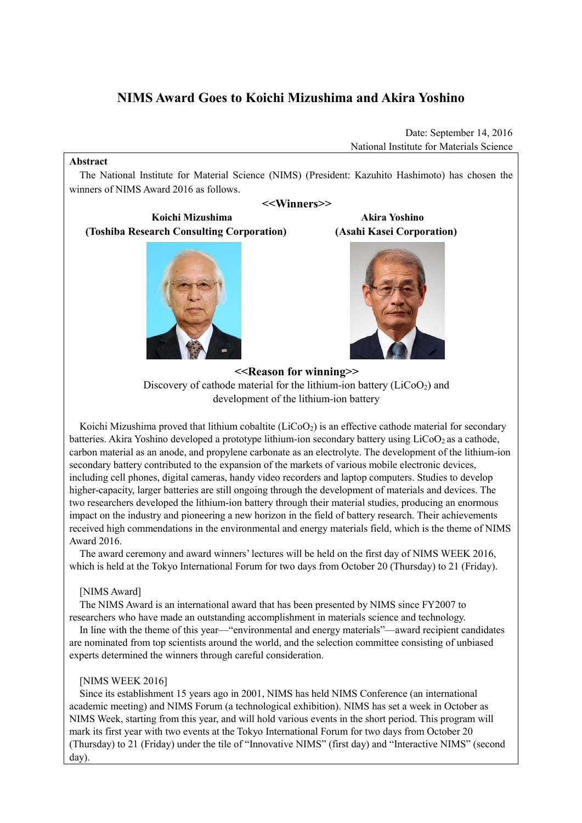# **NIMS Award Goes to Koichi Mizushima and Akira Yoshino**

Date: September 14, 2016 National Institute for Materials Science

#### **Abstract**

The National Institute for Material Science (NIMS) (President: Kazuhito Hashimoto) has chosen the winners of NIMS Award 2016 as follows.

# **<<Winners>>**

# **Koichi Mizushima Akira Yoshino (Toshiba Research Consulting Corporation) (Asahi Kasei Corporation)**





**<<Reason for winning>>** Discovery of cathode material for the lithium-ion battery (LiCoO<sub>2</sub>) and development of the lithium-ion battery

Koichi Mizushima proved that lithium cobaltite  $(LICO<sub>2</sub>)$  is an effective cathode material for secondary batteries. Akira Yoshino developed a prototype lithium-ion secondary battery using LiCoO<sub>2</sub> as a cathode, carbon material as an anode, and propylene carbonate as an electrolyte. The development of the lithium-ion secondary battery contributed to the expansion of the markets of various mobile electronic devices, including cell phones, digital cameras, handy video recorders and laptop computers. Studies to develop higher-capacity, larger batteries are still ongoing through the development of materials and devices. The two researchers developed the lithium-ion battery through their material studies, producing an enormous impact on the industry and pioneering a new horizon in the field of battery research. Their achievements received high commendations in the environmental and energy materials field, which is the theme of NIMS Award 2016.

The award ceremony and award winners' lectures will be held on the first day of NIMS WEEK 2016, which is held at the Tokyo International Forum for two days from October 20 (Thursday) to 21 (Friday).

# [NIMS Award]

The NIMS Award is an international award that has been presented by NIMS since FY2007 to researchers who have made an outstanding accomplishment in materials science and technology.

In line with the theme of this year—"environmental and energy materials"—award recipient candidates are nominated from top scientists around the world, and the selection committee consisting of unbiased experts determined the winners through careful consideration.

### [NIMS WEEK 2016]

Since its establishment 15 years ago in 2001, NIMS has held NIMS Conference (an international academic meeting) and NIMS Forum (a technological exhibition). NIMS has set a week in October as NIMS Week, starting from this year, and will hold various events in the short period. This program will mark its first year with two events at the Tokyo International Forum for two days from October 20 (Thursday) to 21 (Friday) under the tile of "Innovative NIMS" (first day) and "Interactive NIMS" (second day).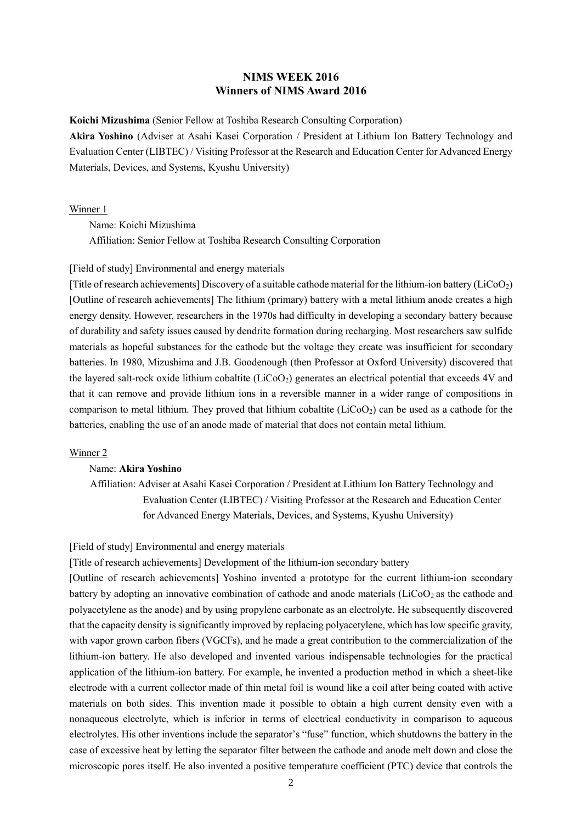# **NIMS WEEK 2016 Winners of NIMS Award 2016**

**Koichi Mizushima** (Senior Fellow at Toshiba Research Consulting Corporation)

**Akira Yoshino** (Adviser at Asahi Kasei Corporation / President at Lithium Ion Battery Technology and Evaluation Center (LIBTEC) / Visiting Professor at the Research and Education Center for Advanced Energy Materials, Devices, and Systems, Kyushu University)

Winner 1

Name: Koichi Mizushima Affiliation: Senior Fellow at Toshiba Research Consulting Corporation

#### [Field of study] Environmental and energy materials

[Title of research achievements] Discovery of a suitable cathode material for the lithium-ion battery (LiCoO2) [Outline of research achievements] The lithium (primary) battery with a metal lithium anode creates a high energy density. However, researchers in the 1970s had difficulty in developing a secondary battery because of durability and safety issues caused by dendrite formation during recharging. Most researchers saw sulfide materials as hopeful substances for the cathode but the voltage they create was insufficient for secondary batteries. In 1980, Mizushima and J.B. Goodenough (then Professor at Oxford University) discovered that the layered salt-rock oxide lithium cobaltite (LiCoO2) generates an electrical potential that exceeds 4V and that it can remove and provide lithium ions in a reversible manner in a wider range of compositions in comparison to metal lithium. They proved that lithium cobaltite  $(LicoO<sub>2</sub>)$  can be used as a cathode for the batteries, enabling the use of an anode made of material that does not contain metal lithium.

#### Winner 2

### Name: **Akira Yoshino**

Affiliation: Adviser at Asahi Kasei Corporation / President at Lithium Ion Battery Technology and Evaluation Center (LIBTEC) / Visiting Professor at the Research and Education Center for Advanced Energy Materials, Devices, and Systems, Kyushu University)

## [Field of study] Environmental and energy materials

[Title of research achievements] Development of the lithium-ion secondary battery

[Outline of research achievements] Yoshino invented a prototype for the current lithium-ion secondary battery by adopting an innovative combination of cathode and anode materials (LiCoO<sup>2</sup> as the cathode and polyacetylene as the anode) and by using propylene carbonate as an electrolyte. He subsequently discovered that the capacity density is significantly improved by replacing polyacetylene, which has low specific gravity, with vapor grown carbon fibers (VGCFs), and he made a great contribution to the commercialization of the lithium-ion battery. He also developed and invented various indispensable technologies for the practical application of the lithium-ion battery. For example, he invented a production method in which a sheet-like electrode with a current collector made of thin metal foil is wound like a coil after being coated with active materials on both sides. This invention made it possible to obtain a high current density even with a nonaqueous electrolyte, which is inferior in terms of electrical conductivity in comparison to aqueous electrolytes. His other inventions include the separator's "fuse" function, which shutdowns the battery in the case of excessive heat by letting the separator filter between the cathode and anode melt down and close the microscopic pores itself. He also invented a positive temperature coefficient (PTC) device that controls the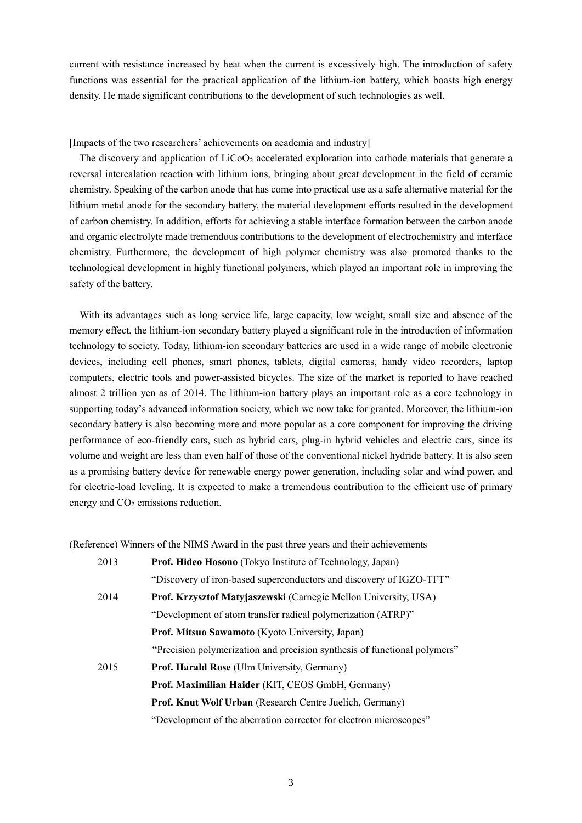current with resistance increased by heat when the current is excessively high. The introduction of safety functions was essential for the practical application of the lithium-ion battery, which boasts high energy density. He made significant contributions to the development of such technologies as well.

[Impacts of the two researchers' achievements on academia and industry]

The discovery and application of LiCoO<sub>2</sub> accelerated exploration into cathode materials that generate a reversal intercalation reaction with lithium ions, bringing about great development in the field of ceramic chemistry. Speaking of the carbon anode that has come into practical use as a safe alternative material for the lithium metal anode for the secondary battery, the material development efforts resulted in the development of carbon chemistry. In addition, efforts for achieving a stable interface formation between the carbon anode and organic electrolyte made tremendous contributions to the development of electrochemistry and interface chemistry. Furthermore, the development of high polymer chemistry was also promoted thanks to the technological development in highly functional polymers, which played an important role in improving the safety of the battery.

With its advantages such as long service life, large capacity, low weight, small size and absence of the memory effect, the lithium-ion secondary battery played a significant role in the introduction of information technology to society. Today, lithium-ion secondary batteries are used in a wide range of mobile electronic devices, including cell phones, smart phones, tablets, digital cameras, handy video recorders, laptop computers, electric tools and power-assisted bicycles. The size of the market is reported to have reached almost 2 trillion yen as of 2014. The lithium-ion battery plays an important role as a core technology in supporting today's advanced information society, which we now take for granted. Moreover, the lithium-ion secondary battery is also becoming more and more popular as a core component for improving the driving performance of eco-friendly cars, such as hybrid cars, plug-in hybrid vehicles and electric cars, since its volume and weight are less than even half of those of the conventional nickel hydride battery. It is also seen as a promising battery device for renewable energy power generation, including solar and wind power, and for electric-load leveling. It is expected to make a tremendous contribution to the efficient use of primary energy and CO<sub>2</sub> emissions reduction.

(Reference) Winners of the NIMS Award in the past three years and their achievements

| 2013 | <b>Prof. Hideo Hosono</b> (Tokyo Institute of Technology, Japan)          |
|------|---------------------------------------------------------------------------|
|      | "Discovery of iron-based superconductors and discovery of IGZO-TFT"       |
| 2014 | Prof. Krzysztof Matyjaszewski (Carnegie Mellon University, USA)           |
|      | "Development of atom transfer radical polymerization (ATRP)"              |
|      | Prof. Mitsuo Sawamoto (Kyoto University, Japan)                           |
|      | "Precision polymerization and precision synthesis of functional polymers" |
| 2015 | Prof. Harald Rose (Ulm University, Germany)                               |
|      | Prof. Maximilian Haider (KIT, CEOS GmbH, Germany)                         |
|      | Prof. Knut Wolf Urban (Research Centre Juelich, Germany)                  |
|      | "Development of the aberration corrector for electron microscopes"        |